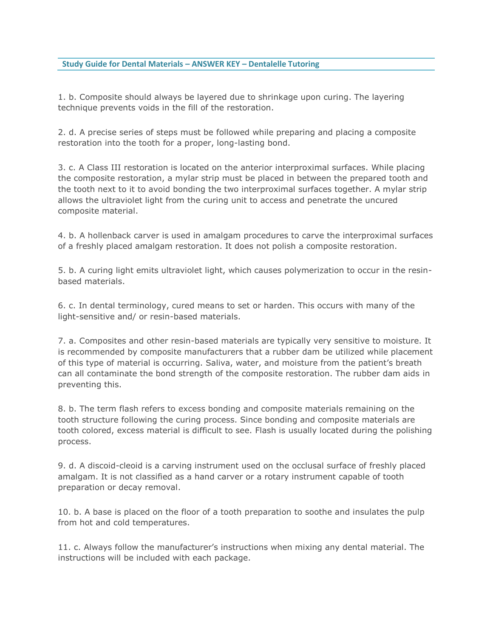## **Study Guide for Dental Materials – ANSWER KEY – Dentalelle Tutoring**

1. b. Composite should always be layered due to shrinkage upon curing. The layering technique prevents voids in the fill of the restoration.

2. d. A precise series of steps must be followed while preparing and placing a composite restoration into the tooth for a proper, long-lasting bond.

3. c. A Class III restoration is located on the anterior interproximal surfaces. While placing the composite restoration, a mylar strip must be placed in between the prepared tooth and the tooth next to it to avoid bonding the two interproximal surfaces together. A mylar strip allows the ultraviolet light from the curing unit to access and penetrate the uncured composite material.

4. b. A hollenback carver is used in amalgam procedures to carve the interproximal surfaces of a freshly placed amalgam restoration. It does not polish a composite restoration.

5. b. A curing light emits ultraviolet light, which causes polymerization to occur in the resinbased materials.

6. c. In dental terminology, cured means to set or harden. This occurs with many of the light-sensitive and/ or resin-based materials.

7. a. Composites and other resin-based materials are typically very sensitive to moisture. It is recommended by composite manufacturers that a rubber dam be utilized while placement of this type of material is occurring. Saliva, water, and moisture from the patient's breath can all contaminate the bond strength of the composite restoration. The rubber dam aids in preventing this.

8. b. The term flash refers to excess bonding and composite materials remaining on the tooth structure following the curing process. Since bonding and composite materials are tooth colored, excess material is difficult to see. Flash is usually located during the polishing process.

9. d. A discoid-cleoid is a carving instrument used on the occlusal surface of freshly placed amalgam. It is not classified as a hand carver or a rotary instrument capable of tooth preparation or decay removal.

10. b. A base is placed on the floor of a tooth preparation to soothe and insulates the pulp from hot and cold temperatures.

11. c. Always follow the manufacturer's instructions when mixing any dental material. The instructions will be included with each package.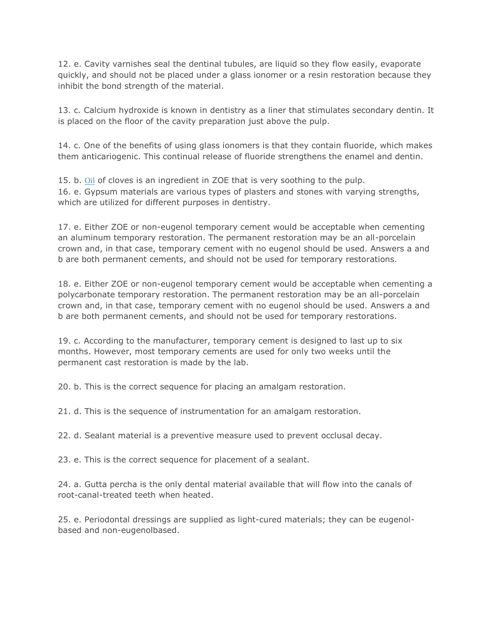12. e. Cavity varnishes seal the dentinal tubules, are liquid so they flow easily, evaporate quickly, and should not be placed under a glass ionomer or a resin restoration because they inhibit the bond strength of the material.

13. c. Calcium hydroxide is known in dentistry as a liner that stimulates secondary dentin. It is placed on the floor of the cavity preparation just above the pulp.

14. c. One of the benefits of using glass ionomers is that they contain fluoride, which makes them anticariogenic. This continual release of fluoride strengthens the enamel and dentin.

15. b. [Oil](http://www.education.com/reference/article/dental-materials-practice-problems/?page=2) of cloves is an ingredient in ZOE that is very soothing to the pulp. 16. e. Gypsum materials are various types of plasters and stones with varying strengths, which are utilized for different purposes in dentistry.

17. e. Either ZOE or non-eugenol temporary cement would be acceptable when cementing an aluminum temporary restoration. The permanent restoration may be an all-porcelain crown and, in that case, temporary cement with no eugenol should be used. Answers a and b are both permanent cements, and should not be used for temporary restorations.

18. e. Either ZOE or non-eugenol temporary cement would be acceptable when cementing a polycarbonate temporary restoration. The permanent restoration may be an all-porcelain crown and, in that case, temporary cement with no eugenol should be used. Answers a and b are both permanent cements, and should not be used for temporary restorations.

19. c. According to the manufacturer, temporary cement is designed to last up to six months. However, most temporary cements are used for only two weeks until the permanent cast restoration is made by the lab.

20. b. This is the correct sequence for placing an amalgam restoration.

21. d. This is the sequence of instrumentation for an amalgam restoration.

22. d. Sealant material is a preventive measure used to prevent occlusal decay.

23. e. This is the correct sequence for placement of a sealant.

24. a. Gutta percha is the only dental material available that will flow into the canals of root-canal-treated teeth when heated.

25. e. Periodontal dressings are supplied as light-cured materials; they can be eugenolbased and non-eugenolbased.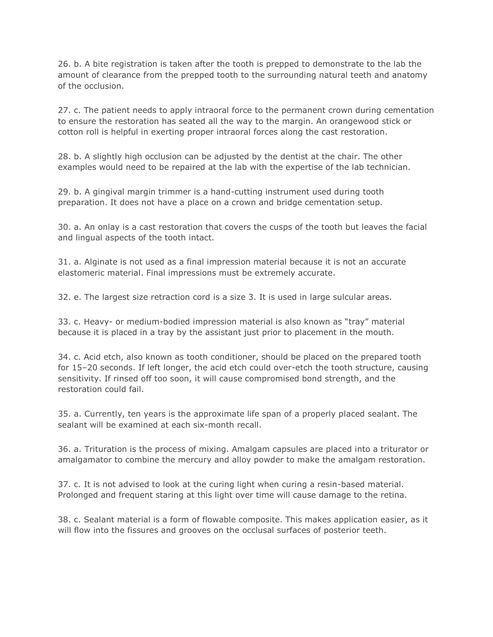26. b. A bite registration is taken after the tooth is prepped to demonstrate to the lab the amount of clearance from the prepped tooth to the surrounding natural teeth and anatomy of the occlusion.

27. c. The patient needs to apply intraoral force to the permanent crown during cementation to ensure the restoration has seated all the way to the margin. An orangewood stick or cotton roll is helpful in exerting proper intraoral forces along the cast restoration.

28. b. A slightly high occlusion can be adjusted by the dentist at the chair. The other examples would need to be repaired at the lab with the expertise of the lab technician.

29. b. A gingival margin trimmer is a hand-cutting instrument used during tooth preparation. It does not have a place on a crown and bridge cementation setup.

30. a. An onlay is a cast restoration that covers the cusps of the tooth but leaves the facial and lingual aspects of the tooth intact.

31. a. Alginate is not used as a final impression material because it is not an accurate elastomeric material. Final impressions must be extremely accurate.

32. e. The largest size retraction cord is a size 3. It is used in large sulcular areas.

33. c. Heavy- or medium-bodied impression material is also known as "tray" material because it is placed in a tray by the assistant just prior to placement in the mouth.

34. c. Acid etch, also known as tooth conditioner, should be placed on the prepared tooth for 15–20 seconds. If left longer, the acid etch could over-etch the tooth structure, causing sensitivity. If rinsed off too soon, it will cause compromised bond strength, and the restoration could fail.

35. a. Currently, ten years is the approximate life span of a properly placed sealant. The sealant will be examined at each six-month recall.

36. a. Trituration is the process of mixing. Amalgam capsules are placed into a triturator or amalgamator to combine the mercury and alloy powder to make the amalgam restoration.

37. c. It is not advised to look at the curing light when curing a resin-based material. Prolonged and frequent staring at this light over time will cause damage to the retina.

38. c. Sealant material is a form of flowable composite. This makes application easier, as it will flow into the fissures and grooves on the occlusal surfaces of posterior teeth.